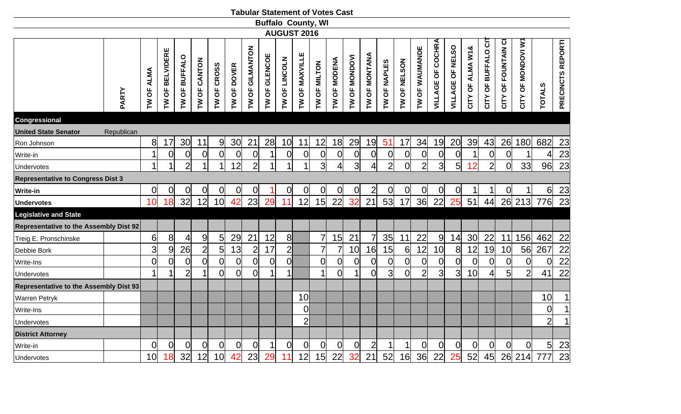|                                               |            |                |                   |                                       |                     |                 |                |                 |                 |                    |                 | <b>Tabular Statement of Votes Cast</b> |                |                      |                |                     |                |                |                      |                  |                  |                     |                    |                   |                 |                   |
|-----------------------------------------------|------------|----------------|-------------------|---------------------------------------|---------------------|-----------------|----------------|-----------------|-----------------|--------------------|-----------------|----------------------------------------|----------------|----------------------|----------------|---------------------|----------------|----------------|----------------------|------------------|------------------|---------------------|--------------------|-------------------|-----------------|-------------------|
|                                               |            |                |                   |                                       |                     |                 |                |                 |                 |                    |                 | <b>Buffalo County, WI</b>              |                |                      |                |                     |                |                |                      |                  |                  |                     |                    |                   |                 |                   |
|                                               |            |                |                   |                                       |                     |                 |                |                 |                 | <b>AUGUST 2016</b> |                 |                                        |                |                      |                |                     |                |                |                      |                  |                  |                     |                    |                   |                 |                   |
|                                               | PARTY      | TW OF ALMA     | OF BELVIDERE<br>ξ | <b>BUFFALO</b><br>$\overline{0}$<br>ξ | <b>TW OF CANTON</b> | TW OF CROSS     | TW OF DOVER    | TW OF GILMANTON | OF GLENCOE<br>ξ | OF LINCOLN<br>ξ    | TW OF MAXVILLE  | TW OF MILTON                           | TW OF MODENA   | <b>TW OF MONDOVI</b> | TW OF MONTANA  | <b>TW OF NAPLES</b> | TW OF NELSON   | TW OF WAUMANDE | OF COCHRA<br>VILLAGE | VILLAGE OF NELSO | CITY OF ALMA W1& | CITY OF BUFFALO CIT | CITY OF FOUNTAIN C | CITY OF MONDOVI W | <b>TOTALS</b>   | PRECINCTS REPORTI |
| <b>Congressional</b>                          |            |                |                   |                                       |                     |                 |                |                 |                 |                    |                 |                                        |                |                      |                |                     |                |                |                      |                  |                  |                     |                    |                   |                 |                   |
| <b>United State Senator</b>                   | Republican |                |                   |                                       |                     |                 |                |                 |                 |                    |                 |                                        |                |                      |                |                     |                |                |                      |                  |                  |                     |                    |                   |                 |                   |
| Ron Johnson                                   |            | 8              | 17                | 30 <sub>l</sub>                       | 11                  | 9 <sub>l</sub>  | 30             | 21              | 28              | 10                 | 11              | 12                                     | 18             | 29                   | 19             | 51                  | 17             | 34             | 19                   | 20               | 39               | 43                  | 26                 | 180               | 682             | 23                |
| Write-in                                      |            |                | $\Omega$          | $\overline{0}$                        | $\overline{0}$      | $\overline{0}$  | $\overline{0}$ | $\overline{0}$  |                 | $\overline{0}$     | 0               | $\overline{0}$                         | $\overline{0}$ | $\Omega$             | $\overline{0}$ | $\mathbf 0$         | $\overline{0}$ | $\overline{0}$ | $\overline{0}$       | $\overline{0}$   |                  | $\overline{0}$      | $\overline{0}$     |                   |                 | 23                |
| <b>Undervotes</b>                             |            | 1              |                   | $\overline{2}$                        |                     | 1               | 12             | $\overline{2}$  | 1               |                    | 1               | $\overline{3}$                         | 4              | 3                    | $\overline{4}$ | $\overline{2}$      | 0l             | $\overline{2}$ | $\overline{3}$       | 5                | 12               | $\overline{2}$      | $\overline{0}$     | 33                | 96              | 23                |
| <b>Representative to Congress Dist 3</b>      |            |                |                   |                                       |                     |                 |                |                 |                 |                    |                 |                                        |                |                      |                |                     |                |                |                      |                  |                  |                     |                    |                   |                 |                   |
| <b>Write-in</b>                               |            | 0              | 0                 | 0                                     | 0                   | 0               | 0              | 0               |                 | $\overline{0}$     | 0               | $\overline{0}$                         | $\overline{0}$ | 0                    | $\overline{2}$ | 0                   | 0              | $\overline{O}$ | $\overline{0}$       | 0                |                  | 1                   | 0                  |                   | 6               | 23                |
| <b>Undervotes</b>                             |            | 10             | 18                | 32                                    | 12                  | 10 <sup>1</sup> | 42             | 23              | 29              | 11                 | 12              | 15                                     | 22             | 32                   | 21             | 53                  | 17             | 36             | 22                   | 25               | 51               | 44                  |                    | 26 213            | 776             | $\overline{23}$   |
| <b>Legislative and State</b>                  |            |                |                   |                                       |                     |                 |                |                 |                 |                    |                 |                                        |                |                      |                |                     |                |                |                      |                  |                  |                     |                    |                   |                 |                   |
| <b>Representative to the Assembly Dist 92</b> |            |                |                   |                                       |                     |                 |                |                 |                 |                    |                 |                                        |                |                      |                |                     |                |                |                      |                  |                  |                     |                    |                   |                 |                   |
| Treig E. Pronschinske                         |            | 6              | 8 <sup>1</sup>    | $\overline{4}$                        | $\overline{9}$      | 5               | 29             | 21              | 12              | 8                  |                 | $\overline{7}$                         | 15             | 21                   | $\overline{7}$ | 35                  | 11             | 22             | 9                    | 14               | 30               | 22                  | 11                 | 156               | 462             | 22                |
| Debbie Bork                                   |            | 3 <sub>l</sub> | 9                 | 26                                    | $\overline{2}$      | 5 <sup>1</sup>  | 13             | $\overline{2}$  | 17              | $\overline{2}$     |                 | $\overline{7}$                         | $\overline{7}$ | 10                   | 16             | 15                  | 6              | 12             | 10                   | 8                | 12               | 19                  | 10 <sup>1</sup>    | 56                | 267             | $\frac{22}{1}$    |
| Write-Ins                                     |            | 0              | $\Omega$          | $\overline{0}$                        | $\overline{0}$      | $\overline{0}$  | $\overline{0}$ | $\overline{0}$  | $\overline{0}$  | $\Omega$           |                 | $\overline{0}$                         | $\overline{0}$ | $\overline{0}$       | $\overline{0}$ | $\overline{0}$      | $\overline{0}$ | $\overline{0}$ | $\mathbf 0$          | $\overline{0}$   | $\overline{0}$   | 0                   | 0                  | $\overline{0}$    | $\Omega$        | 22                |
| Undervotes                                    |            | $\mathbf 1$    |                   | $\overline{2}$                        | 1                   | $\overline{0}$  | $\overline{0}$ | $\overline{0}$  | 1               |                    |                 |                                        | $\overline{0}$ |                      | $\overline{0}$ | $\overline{3}$      | $\overline{0}$ | $\overline{2}$ | $\overline{3}$       | 3                | 10               | 4                   | 5 <sup>1</sup>     | $\overline{2}$    | 41              | 22                |
| <b>Representative to the Assembly Dist 93</b> |            |                |                   |                                       |                     |                 |                |                 |                 |                    |                 |                                        |                |                      |                |                     |                |                |                      |                  |                  |                     |                    |                   |                 |                   |
| <b>Warren Petryk</b>                          |            |                |                   |                                       |                     |                 |                |                 |                 |                    | 10 <sup>1</sup> |                                        |                |                      |                |                     |                |                |                      |                  |                  |                     |                    |                   | 10              | 1                 |
| Write-Ins                                     |            |                |                   |                                       |                     |                 |                |                 |                 |                    | 0               |                                        |                |                      |                |                     |                |                |                      |                  |                  |                     |                    |                   | $\overline{0}$  | 1                 |
| <b>Undervotes</b>                             |            |                |                   |                                       |                     |                 |                |                 |                 |                    | $\overline{2}$  |                                        |                |                      |                |                     |                |                |                      |                  |                  |                     |                    |                   | $\overline{2}$  | 1                 |
| <b>District Attorney</b>                      |            |                |                   |                                       |                     |                 |                |                 |                 |                    |                 |                                        |                |                      |                |                     |                |                |                      |                  |                  |                     |                    |                   |                 |                   |
| Write-in                                      |            | $\overline{0}$ | <sub>0</sub>      | $\overline{0}$                        | $\overline{0}$      | 0               | $\overline{0}$ | $\overline{0}$  | 1               | $\overline{O}$     | $\overline{0}$  | $\overline{0}$                         | $\overline{0}$ | $\overline{0}$       | $\overline{2}$ | $\mathbf{1}$        | 1              | $\overline{0}$ | $\overline{0}$       | $\overline{0}$   | $\overline{0}$   | $\overline{0}$      | $\overline{0}$     | $\overline{0}$    | $5\overline{)}$ | 23                |
| Undervotes                                    |            | 10             | 18                | 32                                    | 12                  | 10 <sup>1</sup> | 42             | 23              | 29              | 11                 | 12              | 15                                     | 22             | 32                   | 21             | 52                  | 16             | 36             | 22                   | 25               | 52               | 45                  |                    | 26 214            | 777             | 23                |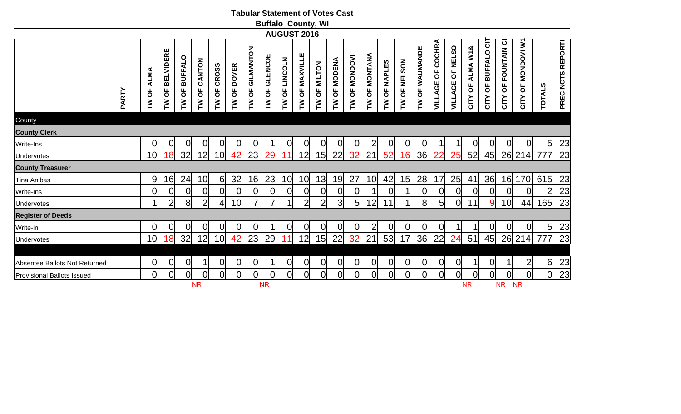|                               |       |                |                                                             |                             |                 |                       |                                                |                                           |                                                | <b>Tabular Statement of Votes Cast</b>                |                                                            |                |                |                |                  |                |                           |                                            |                                                 |                     |                  |                                                                 |                          |                              |                |                   |
|-------------------------------|-------|----------------|-------------------------------------------------------------|-----------------------------|-----------------|-----------------------|------------------------------------------------|-------------------------------------------|------------------------------------------------|-------------------------------------------------------|------------------------------------------------------------|----------------|----------------|----------------|------------------|----------------|---------------------------|--------------------------------------------|-------------------------------------------------|---------------------|------------------|-----------------------------------------------------------------|--------------------------|------------------------------|----------------|-------------------|
|                               |       |                |                                                             |                             |                 |                       |                                                |                                           |                                                | <b>Buffalo County, WI</b>                             |                                                            |                |                |                |                  |                |                           |                                            |                                                 |                     |                  |                                                                 |                          |                              |                |                   |
|                               |       |                |                                                             |                             |                 |                       |                                                |                                           |                                                | <b>AUGUST 2016</b>                                    |                                                            |                |                |                |                  |                |                           |                                            |                                                 |                     |                  |                                                                 |                          |                              |                |                   |
|                               | PARTY | ALMA<br>TW OF  | <b>BELVIDERE</b><br>$\overline{\sigma}$<br>$\sum_{i=1}^{n}$ | <b>BUFFALO</b><br>pP<br>ΣP. | CANTON<br>TW OF | <b>CROSS</b><br>TW OF | <b>DOVER</b><br>$\overline{6}$<br>$\mathbf{M}$ | GILMANTON<br>$\overline{\mathsf{b}}$<br>M | GLENCOE<br>$\overline{\sigma}$<br>$\mathbf{M}$ | <b>LINCOLN</b><br>$\overline{6}$<br>$\mathsf{\Sigma}$ | <b>MAXVILLE</b><br>$\overline{\sigma}$<br>$\sum_{i=1}^{n}$ | TW OF MILTON   | TW OF MODENA   | TW OF MONDOVI  | OF MONTANA<br>ML | TW OF NAPLES   | OF NELSON<br>$\mathbf{M}$ | WAUMANDE<br>$\overline{6}$<br>$\mathbf{M}$ | <b>COCHRA</b><br>$\overline{\sigma}$<br>VILLAGE | OF NELSO<br>VILLAGE | CITY OF ALMA W1& | $\overline{5}$<br><b>BUFFALO</b><br>$\overline{\sigma}$<br>CITY | FOUNTAIN CI<br>5<br>CITY | <b>MONDOVI W1</b><br>CITY OF | <b>TOTALS</b>  | PRECINCTS REPORTI |
| County                        |       |                |                                                             |                             |                 |                       |                                                |                                           |                                                |                                                       |                                                            |                |                |                |                  |                |                           |                                            |                                                 |                     |                  |                                                                 |                          |                              |                |                   |
| <b>County Clerk</b>           |       |                |                                                             |                             |                 |                       |                                                |                                           |                                                |                                                       |                                                            |                |                |                |                  |                |                           |                                            |                                                 |                     |                  |                                                                 |                          |                              |                |                   |
| Write-Ins                     |       | $\overline{0}$ | 0                                                           | 0                           | $\overline{O}$  | 0                     | 0                                              | $\overline{0}$                            |                                                | 0                                                     | 0                                                          | $\overline{0}$ | $\overline{0}$ | 0              | $2\vert$         | $\overline{0}$ | 0                         | $\overline{0}$                             |                                                 |                     | 0                | 0                                                               | 0                        | $\overline{0}$               | 5 <sup>1</sup> | 23                |
| Undervotes                    |       | 10             | 18                                                          | 32                          | 12              | 10 <sub>l</sub>       | 42                                             | 23                                        | 29                                             | 1                                                     | 12                                                         | 15             | 22             | 32             | 21               | 52             | 16                        | 36                                         | 22                                              | 25                  | 52               | 45                                                              |                          | 26 214                       |                | 23                |
| <b>County Treasurer</b>       |       |                |                                                             |                             |                 |                       |                                                |                                           |                                                |                                                       |                                                            |                |                |                |                  |                |                           |                                            |                                                 |                     |                  |                                                                 |                          |                              |                |                   |
| <b>Tina Anibas</b>            |       | 9              | 16                                                          | 24                          | 10              | $6 \mid$              | 32                                             | 16                                        | 23                                             | 10 <sup>l</sup>                                       | 10 <sup>1</sup>                                            | 13             | 19             | 27             | 10 <sup>1</sup>  | 42             | 15                        | 28                                         | 17                                              | 25                  | 41               | 36                                                              | 16                       | 170                          | 615            | 23                |
| Write-Ins                     |       | $\overline{0}$ | 0                                                           | $\overline{0}$              | 0               | 0                     | $\overline{O}$                                 | $\overline{0}$                            | $\overline{0}$                                 | $\overline{0}$                                        | $\overline{0}$                                             | $\overline{0}$ | $\overline{0}$ | 0              |                  | $\overline{0}$ |                           | $\overline{0}$                             | $\overline{0}$                                  | $\overline{O}$      | $\overline{O}$   | $\overline{0}$                                                  | $\overline{O}$           | $\overline{0}$               |                | 23                |
| Undervotes                    |       |                | $\overline{2}$                                              | 8 <sup>1</sup>              | $\overline{2}$  | 4 <sup>1</sup>        | 10                                             | 7                                         |                                                |                                                       | $\overline{2}$                                             | $\overline{2}$ | $\overline{3}$ | $5 \vert$      | 12               | 11             |                           | 8 <sup>1</sup>                             | 5 <sub>l</sub>                                  | 0                   | 11               | 9                                                               | 10 <sub>l</sub>          | 44                           | 165            | 23                |
| <b>Register of Deeds</b>      |       |                |                                                             |                             |                 |                       |                                                |                                           |                                                |                                                       |                                                            |                |                |                |                  |                |                           |                                            |                                                 |                     |                  |                                                                 |                          |                              |                |                   |
| Write-in                      |       | <sub>O</sub>   | 0                                                           | 0                           | 0               | 0                     | 0                                              | $\overline{0}$                            |                                                | <sub>O</sub>                                          | 0                                                          | 0              | $\Omega$       | 0              | $\overline{2}$   | $\overline{0}$ | 0                         | 0                                          | $\overline{0}$                                  |                     |                  | 0                                                               | 0                        | $\overline{0}$               | 5              | 23                |
| Undervotes                    |       | 10             | 18                                                          | 32                          | 12              | 10 <sup>1</sup>       | 42                                             | 23                                        | 29                                             |                                                       | 12                                                         | 15             | 22             | 32             | 21               | 53             | 17                        | 36                                         | 22                                              | 24                  | 51               | 45                                                              |                          | 26 214                       |                | 23                |
|                               |       |                |                                                             |                             |                 |                       |                                                |                                           |                                                |                                                       |                                                            |                |                |                |                  |                |                           |                                            |                                                 |                     |                  |                                                                 |                          |                              |                |                   |
| Absentee Ballots Not Returned |       | 0              | 0                                                           | 0                           |                 | 이                     | 0                                              | $\overline{0}$                            |                                                | $\overline{0}$                                        | $\overline{0}$                                             | $\overline{0}$ | $\overline{0}$ | 0              | 0                | $\overline{O}$ | 0                         | $\overline{0}$                             | $\overline{0}$                                  | 0                   |                  | 0                                                               |                          | $\overline{2}$               | 6              | 23                |
| Provisional Ballots Issued    |       | 0l             | $\overline{0}$                                              | $\overline{0}$              | $\overline{O}$  | Ol                    | $\overline{0}$                                 | $\overline{0}$                            | $\overline{0}$                                 | Ol                                                    | $\overline{0}$                                             | $\overline{0}$ |                | $\overline{0}$ | <sub>0</sub>     | $\overline{0}$ | Ol                        | O                                          | $\overline{0}$                                  | $\overline{0}$      | Ωl               | $\overline{0}$                                                  | Ol                       | Ol                           | 0l             | 23                |
|                               |       |                |                                                             |                             | <b>NR</b>       |                       |                                                |                                           | <b>NR</b>                                      |                                                       |                                                            |                |                |                |                  |                |                           |                                            |                                                 |                     | <b>NR</b>        |                                                                 | <b>NR</b>                | <b>NR</b>                    |                |                   |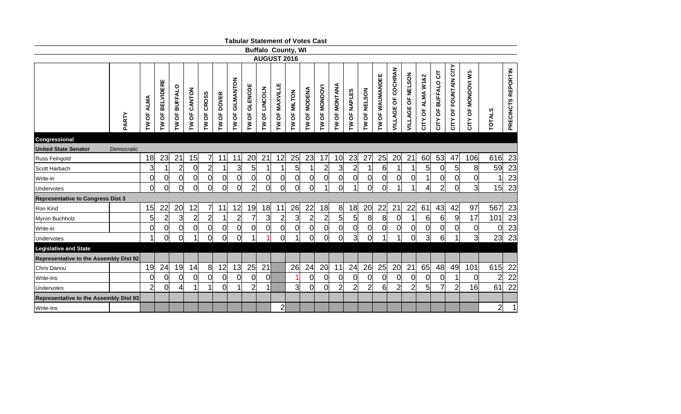|                                               |            |                                    |                   |                 |                |                                          |                |                 |                      |                 | <b>Tabular Statement of Votes Cast</b> |                |                      |                 |                 |                |                     |                 |                           |                          |                   |                        |                          |                     |                |                    |
|-----------------------------------------------|------------|------------------------------------|-------------------|-----------------|----------------|------------------------------------------|----------------|-----------------|----------------------|-----------------|----------------------------------------|----------------|----------------------|-----------------|-----------------|----------------|---------------------|-----------------|---------------------------|--------------------------|-------------------|------------------------|--------------------------|---------------------|----------------|--------------------|
|                                               |            |                                    |                   |                 |                |                                          |                |                 |                      |                 | <b>Buffalo County, WI</b>              |                |                      |                 |                 |                |                     |                 |                           |                          |                   |                        |                          |                     |                |                    |
|                                               |            |                                    |                   |                 |                |                                          |                |                 |                      |                 | <b>AUGUST 2016</b>                     |                |                      |                 |                 |                |                     |                 |                           |                          |                   |                        |                          |                     |                |                    |
|                                               | PARTY      | <b>ALMA</b><br>$\overline{6}$<br>ξ | OF BELVIDERE<br>ξ | OF BUFFALO<br>ξ | TW OF CANTON   | <b>CROSS</b><br>$\overline{\sigma}$<br>ξ | OF DOVER<br>Σ  | TW OF GILMANTON | <b>TW OF GLENCOE</b> | OF LINCOLN<br>ξ | OF MAXVILLE<br>ξ                       | OF MILTON<br>ξ | <b>I'W OF MODENA</b> | OF MONDOVI<br>ξ | OF MONTANA<br>ξ | TW OF NAPLES   | <b>TW OF NELSON</b> | TW OF WAUMANDEE | <b>VILLAGE OF COCHRAN</b> | <b>VILLAGE OF NELSON</b> | CITY OF ALMA W1&2 | OF BUFFALO CIT<br>CITY | OF FOUNTAIN CITY<br>CITY | CITY OF MONDOVI W1- | <b>TOTALS</b>  | PRECINCTS REPORTIN |
| Congressional                                 |            |                                    |                   |                 |                |                                          |                |                 |                      |                 |                                        |                |                      |                 |                 |                |                     |                 |                           |                          |                   |                        |                          |                     |                |                    |
| <b>United State Senator</b>                   | Democratic |                                    |                   |                 |                |                                          |                |                 |                      |                 |                                        |                |                      |                 |                 |                |                     |                 |                           |                          |                   |                        |                          |                     |                |                    |
| Russ Feingold                                 |            | 18                                 | 23                | 21              | 15             | 7                                        | 11             | 11              | 20                   | 21              | 12                                     | 25             | 23                   | 17              | 10              | 23             | 27                  | 25              | 20                        | 21                       | 60                | 53                     | 47                       | 106                 | 616            | 23                 |
| lScott Harbach                                |            | $\overline{3}$                     | 1                 | $\overline{2}$  | $\overline{0}$ | $\overline{2}$                           | $\mathbf 1$    | 3 <sup>1</sup>  | 5 <sup>1</sup>       | $\mathbf 1$     | 1                                      | 5 <sup>1</sup> |                      | $\overline{2}$  | $\overline{3}$  | $\overline{2}$ |                     | 6               |                           | 1                        | 5 <sup>1</sup>    | 0                      | 5 <sub>l</sub>           | 8                   | 59             | 23                 |
| lWrite-in                                     |            | $\overline{0}$                     | $\overline{0}$    | $\overline{0}$  | $\overline{0}$ | $\overline{0}$                           | 0              | $\overline{0}$  | 0                    | 0               | $\overline{0}$                         | $\overline{0}$ | 0                    | $\overline{0}$  | $\overline{0}$  | $\overline{0}$ | Οl                  | 01              | $\mathbf 0$               | 0                        |                   | 0                      | $\overline{0}$           | $\overline{0}$      |                | 23                 |
| <b>IUndervotes</b>                            |            | 0l                                 | 0                 | 0               | $\overline{0}$ | $\overline{0}$                           | 0              | 0               | $\overline{2}$       | $\Omega$        | $\Omega$                               | $\overline{0}$ | 0                    |                 | $\Omega$        |                | Ωl                  | O               |                           | 1                        |                   | $\overline{c}$         | $\Omega$                 | $\overline{3}$      | 15             | 23                 |
| <b>Representative to Congress Dist 3</b>      |            |                                    |                   |                 |                |                                          |                |                 |                      |                 |                                        |                |                      |                 |                 |                |                     |                 |                           |                          |                   |                        |                          |                     |                |                    |
| Ron Kind                                      |            | 15                                 | 22                | 20              | 12             | 7                                        | 11             | 12              | 19                   | 18              | 11                                     | 26             | 22                   | 18              | 8               | 18             | 20                  | 22              | 21                        | 22                       | 61                | 43                     | 42                       | 97                  | 567            | 23                 |
| Myron Buchholz                                |            | 5                                  | $\overline{2}$    | $\overline{3}$  | $\overline{2}$ | $\overline{2}$                           |                | $\overline{2}$  | 7                    | 3               | $\overline{2}$                         | $\overline{3}$ | $\overline{2}$       | $\overline{c}$  | $5\overline{a}$ | 5              | 8                   | 8               | $\overline{0}$            |                          | $6 \mid$          | 6                      | 9                        | 17                  | 101            | 23                 |
| Write-in                                      |            | 0l                                 | $\mathbf 0$       | $\overline{0}$  | $\overline{0}$ | $\mathbf 0$                              | 0              | $\overline{0}$  | Ol                   | $\overline{0}$  | <sub>0</sub>                           | $\overline{0}$ | 0                    | <sub>0</sub>    | $\overline{0}$  | $\overline{0}$ | Οl                  | Ol              | $\overline{0}$            | $\overline{0}$           | $\overline{0}$    | 0                      | $\overline{0}$           | $\overline{0}$      | $\overline{0}$ | 23                 |
| Undervotes                                    |            | $\overline{1}$                     | 0                 | 0               | 1              | $\overline{0}$                           | 0              | $\Omega$        | 1                    |                 | $\overline{0}$                         |                | 0l                   | 0l              | 0               | $\overline{3}$ | Ωl                  | 1               |                           | $\overline{0}$           | $\overline{3}$    | $6 \mid$               |                          | $\overline{3}$      | 23             | 23                 |
| <b>Legislative and State</b>                  |            |                                    |                   |                 |                |                                          |                |                 |                      |                 |                                        |                |                      |                 |                 |                |                     |                 |                           |                          |                   |                        |                          |                     |                |                    |
| <b>Representative to the Assembly Dist 92</b> |            |                                    |                   |                 |                |                                          |                |                 |                      |                 |                                        |                |                      |                 |                 |                |                     |                 |                           |                          |                   |                        |                          |                     |                |                    |
| <b>Chris Danou</b>                            |            | 19                                 | 24                | 19              | 14             | 8                                        | 12             | 13              | 25                   | 21              |                                        | 26             | 24                   | 20              | 11              | 24             | 26                  | 25              | 20                        | 21                       | 65                | 48                     | 49                       | 101                 | 615            | 22                 |
| Write-Ins                                     |            | 0                                  | $\overline{0}$    | 0               | $\overline{0}$ | $\overline{0}$                           | 0              | $\overline{0}$  | 0                    | <sub>0</sub>    |                                        |                | 0                    | $\overline{0}$  | $\overline{0}$  | $\overline{0}$ | 0                   | $\overline{0}$  | $\overline{0}$            | $\mathbf 0$              | 0                 | 0                      |                          | $\overline{0}$      | $\overline{2}$ | 22                 |
| <b>IUndervotes</b>                            |            | $\overline{2}$                     | $\overline{0}$    |                 |                |                                          | $\overline{0}$ |                 | $\overline{2}$       | $\overline{A}$  |                                        | 3              | 0l                   | 0l              | $\overline{2}$  | $\overline{2}$ | $\overline{2}$      | 6               | $\overline{2}$            | $\overline{c}$           | 5 <sub>0</sub>    | $\overline{7}$         | $\overline{2}$           | 16 <sup>l</sup>     | 61             | 22                 |
| <b>Representative to the Assembly Dist 93</b> |            |                                    |                   |                 |                |                                          |                |                 |                      |                 |                                        |                |                      |                 |                 |                |                     |                 |                           |                          |                   |                        |                          |                     |                |                    |
| Write-Ins                                     |            |                                    |                   |                 |                |                                          |                |                 |                      |                 | $\overline{2}$                         |                |                      |                 |                 |                |                     |                 |                           |                          |                   |                        |                          |                     | $\overline{2}$ | $\mathbf{1}$       |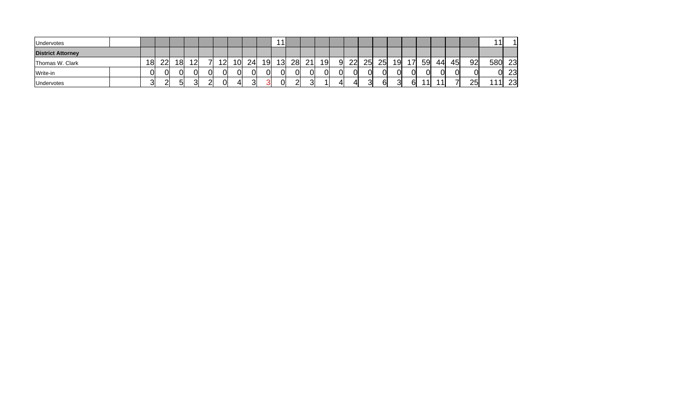| <b>Undervotes</b>        |                 |               |    |    |    |     |    |    | -1              |    |    |           |   |    |    |    |    |                |    |    |    |    |     |    |
|--------------------------|-----------------|---------------|----|----|----|-----|----|----|-----------------|----|----|-----------|---|----|----|----|----|----------------|----|----|----|----|-----|----|
| <b>District Attorney</b> |                 |               |    |    |    |     |    |    |                 |    |    |           |   |    |    |    |    |                |    |    |    |    |     |    |
| Thomas W. Clark          | 18 <sup>l</sup> | $22^{\prime}$ | 18 | 12 | 12 | 10I | 24 | 19 | 13 <sub>l</sub> | 28 | 21 | <u>19</u> | 9 | 22 | 25 | 25 | 19 | $\overline{7}$ | 59 | 44 | 45 | 92 | 580 | 23 |
| Write-in                 |                 |               |    |    |    | 0l  | Οl | Οl | OI              | 01 | Οl | 01        | C |    |    |    |    |                |    | ΩI | ΩI | Ol | Ol  | 23 |
| <b>Undervotes</b>        |                 | $\sim$        |    |    |    |     | ⌒  |    | 01              | റ  |    |           |   |    |    |    |    | ี              | 44 |    |    | 25 |     | 23 |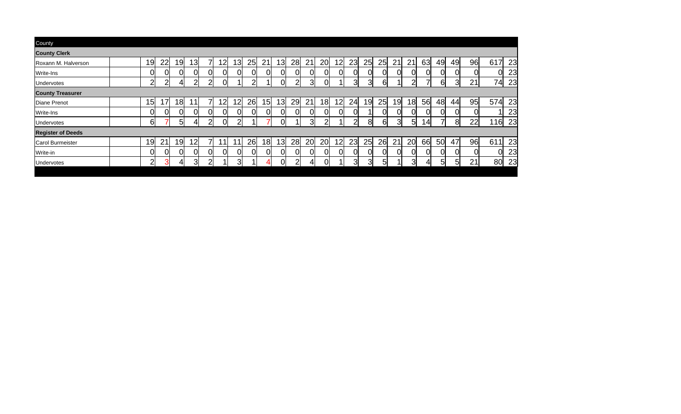| County                   |                |                |     |                 |               |                 |                 |                |                 |                 |                |    |                |                 |    |    |    |    |                 |      |                |    |              |     |     |
|--------------------------|----------------|----------------|-----|-----------------|---------------|-----------------|-----------------|----------------|-----------------|-----------------|----------------|----|----------------|-----------------|----|----|----|----|-----------------|------|----------------|----|--------------|-----|-----|
| <b>County Clerk</b>      |                |                |     |                 |               |                 |                 |                |                 |                 |                |    |                |                 |    |    |    |    |                 |      |                |    |              |     |     |
| Roxann M. Halverson      | 19             | 22             | 19  | 13 <sub>l</sub> |               | 12              | 13 <sub>l</sub> | 25             | 21              | 13 <sup>l</sup> | 28             | 21 | 20             | 12 <sub>l</sub> | 23 | 25 | 25 | 21 | 21              | 63   | 49             | 49 | 96           | 617 | 23  |
| <b>IWrite-Ins</b>        | Ωl             | 0              |     | 0               |               | 0               | 01              | 0              | 0l              | 01              | <sub>0</sub>   | N  | 0              | N               |    |    | 01 |    | ∩               |      | 01             |    | <sub>0</sub> |     | 23  |
| <b>IUndervotes</b>       | $\overline{2}$ | $\overline{2}$ | 41  | 2               | $\mathcal{D}$ | ΩI              |                 | $\overline{2}$ |                 | ΩI              | $\overline{2}$ | 3  | Ol             |                 | 3  | з  | 61 |    | っ               |      | 6 <sup>1</sup> | 31 | 21           | 74  | 23  |
| <b>County Treasurer</b>  |                |                |     |                 |               |                 |                 |                |                 |                 |                |    |                |                 |    |    |    |    |                 |      |                |    |              |     |     |
| Diane Prenot             | 15l            | 17             | 18  | 1               |               | 12              | 12              | 26             | 15 <sub>l</sub> | 13              | 29             | 21 | <u>18</u>      | 12 <sub>l</sub> | 24 | 19 | 25 | 19 | 18 <sub>l</sub> | 56   | 48             | 44 | 95           | 574 | 23  |
| Write-Ins                | Ωl             | 0              |     |                 |               | 0               | 01              | 01             | 01              | 01              | 01             |    | 0              | nı              |    |    | 01 |    |                 |      | 01             | 01 | 0l           |     | 23  |
| Undervotes               | 61             |                | .5I | 41              | っ             | ΩI              | 21              |                |                 | ΩI              |                | 31 | $\overline{2}$ |                 | 2  | 8l | 61 | ঽ  | 5               | l 4l | 7              | 81 | 22           | 116 | 23  |
| <b>Register of Deeds</b> |                |                |     |                 |               |                 |                 |                |                 |                 |                |    |                |                 |    |    |    |    |                 |      |                |    |              |     |     |
| Carol Burmeister         | 19             | 21             | 19  | 12              |               | 11 <sub>1</sub> | 11              | 26             | 18 <sup>l</sup> | 13              | 28             | 20 | 20             | 12 <sup>1</sup> | 23 | 25 | 26 | 21 | 20              | 66   | <b>50</b>      | 47 | 96           | 611 | 23  |
| Write-in                 |                | 0              |     |                 |               | Ωl              | 0l              | Ol             | <sub>0</sub>    | 01              | $\overline{0}$ |    | 0              | ΩI              |    |    | ΩI |    |                 |      | ΩI             | 01 | <sub>0</sub> |     | 23  |
| Undervotes               | 2              | З              |     | 3               | າ             | и               | 31              |                | ⊿               | ΩI              | າ              | 41 | N              |                 | 3  | વા | 51 |    | 3               | ΔΙ   | 51             | 51 | 21           | 80  | -23 |
|                          |                |                |     |                 |               |                 |                 |                |                 |                 |                |    |                |                 |    |    |    |    |                 |      |                |    |              |     |     |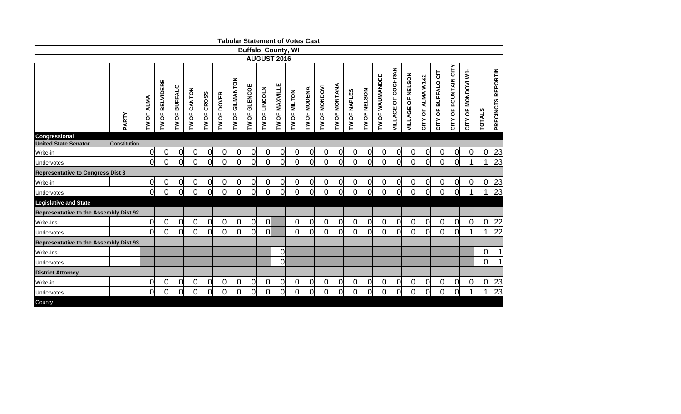|                                          |              |                      |                 |                                                 |                |                |                |                    | <b>Tabular Statement of Votes Cast</b> |                    |                |                |                     |                |                |                |                |                 |                    |                   |                      |                     |                       |                        |                |                    |
|------------------------------------------|--------------|----------------------|-----------------|-------------------------------------------------|----------------|----------------|----------------|--------------------|----------------------------------------|--------------------|----------------|----------------|---------------------|----------------|----------------|----------------|----------------|-----------------|--------------------|-------------------|----------------------|---------------------|-----------------------|------------------------|----------------|--------------------|
|                                          |              |                      |                 |                                                 |                |                |                |                    | <b>Buffalo County, WI</b>              |                    |                |                |                     |                |                |                |                |                 |                    |                   |                      |                     |                       |                        |                |                    |
|                                          |              |                      |                 |                                                 |                |                |                |                    |                                        | <b>AUGUST 2016</b> |                |                |                     |                |                |                |                |                 |                    |                   |                      |                     |                       |                        |                |                    |
|                                          | PARTY        | <b>ALMA</b><br>TW OF | TW OF BELVIDERE | <b>BUFFALO</b><br>$\overline{\sigma}$<br>$\geq$ | TW OF CANTON   | TW OF CROSS    | TW OF DOVER    | GILMANTON<br>TW OF | TW OF GLENCOE                          | TW OF LINCOLN      | TW OF MAXVILLE | TW OF MILTON   | <b>TW OF MODENA</b> | TW OF MONDOVI  | TW OF MONTANA  | TW OF NAPLES   | TW OF NELSON   | TW OF WAUMANDEE | VILLAGE OF COCHRAN | VILLAGE OF NELSON | ALMA W1&2<br>CITY OF | CITY OF BUFFALO CIT | CITY OF FOUNTAIN CITY | OF MONDOVI W1-<br>CITY | <b>TOTALS</b>  | PRECINCTS REPORTIN |
| Congressional<br>United State Senator    |              |                      |                 |                                                 |                |                |                |                    |                                        |                    |                |                |                     |                |                |                |                |                 |                    |                   |                      |                     |                       |                        |                |                    |
| Write-in                                 | Constitution | 0                    | $\overline{0}$  | 0                                               | 0              | $\overline{O}$ | 0              | $\overline{0}$     | $\overline{0}$                         | $\overline{0}$     | $\overline{0}$ | 0              | 0                   | $\overline{0}$ | $\overline{0}$ | 0              | $\overline{0}$ | $\overline{0}$  | 0                  | 0                 | $\Omega$             | $\overline{0}$      | 0                     | $\overline{O}$         | $\overline{0}$ | 23                 |
| Undervotes                               |              | <sup>ol</sup>        | 0l              | $\overline{0}$                                  | 0l             | <sub>0</sub>   | $\overline{0}$ | $\overline{0}$     | $\overline{0}$                         | 0l                 | $\overline{0}$ | <sub>0</sub>   | $\overline{0}$      | $\overline{0}$ | 0              | 0l             | $\overline{0}$ | <sub>0</sub>    | $\overline{0}$     | 0l                | $\mathsf{O}$         | $\overline{0}$      | 0                     | $\mathbf{1}$           | 1              | 23                 |
| <b>Representative to Congress Dist 3</b> |              |                      |                 |                                                 |                |                |                |                    |                                        |                    |                |                |                     |                |                |                |                |                 |                    |                   |                      |                     |                       |                        |                |                    |
| lWrite-in                                |              | $\overline{O}$       | $\overline{0}$  | 0                                               | 0              | $\overline{O}$ | 0              | $\overline{0}$     | $\overline{0}$                         | $\overline{0}$     | $\overline{0}$ | 0              | 0                   | 0              | $\overline{0}$ | 0              | 0              | $\overline{0}$  | 0                  | <sub>0</sub>      | 0                    | $\overline{0}$      | $\overline{O}$        | 0                      | $\overline{0}$ | 23                 |
| Undervotes                               |              | <sub>0</sub>         | $\overline{0}$  | $\overline{0}$                                  | 0l             | 0              | $\overline{0}$ | $\overline{0}$     | $\overline{0}$                         | <sub>0</sub>       | $\overline{0}$ | <sub>0</sub>   | $\overline{0}$      | $\overline{0}$ | $\overline{0}$ | 0              | 0l             | $\overline{0}$  | $\overline{0}$     | Ol                | $\overline{0}$       | $\overline{0}$      | 0                     | 1                      | 1              | 23                 |
| <b>Legislative and State</b>             |              |                      |                 |                                                 |                |                |                |                    |                                        |                    |                |                |                     |                |                |                |                |                 |                    |                   |                      |                     |                       |                        |                |                    |
| Representative to the Assembly Dist 92   |              |                      |                 |                                                 |                |                |                |                    |                                        |                    |                |                |                     |                |                |                |                |                 |                    |                   |                      |                     |                       |                        |                |                    |
| Write-Ins                                |              | <sub>0</sub>         | $\overline{0}$  | $\mathbf 0$                                     | 0l             | 0              | $\overline{0}$ | $\overline{0}$     | $\Omega$                               | <sub>0</sub>       |                | 0l             | 0                   | $\overline{0}$ | $\overline{0}$ | 0              | $\overline{0}$ | $\overline{0}$  | $\Omega$           | 0l                | $\overline{0}$       | $\overline{0}$      | 0l                    | $\overline{0}$         | $\overline{0}$ | <u>22</u>          |
| Undervotes                               |              | <sub>O</sub>         | $\Omega$        | $\overline{0}$                                  | $\overline{0}$ | 0l             | $\overline{0}$ | $\overline{0}$     | $\Omega$                               | 0l                 |                | $\Omega$       | 0l                  | $\overline{0}$ | 0              | 0              | 0l             | 0               | $\overline{0}$     | Ol                | 0                    | 0                   | 0l                    |                        | 1              | $\overline{22}$    |
| Representative to the Assembly Dist 93   |              |                      |                 |                                                 |                |                |                |                    |                                        |                    |                |                |                     |                |                |                |                |                 |                    |                   |                      |                     |                       |                        |                |                    |
| lWrite-Ins                               |              |                      |                 |                                                 |                |                |                |                    |                                        |                    | 0              |                |                     |                |                |                |                |                 |                    |                   |                      |                     |                       |                        | $\overline{0}$ |                    |
| Undervotes                               |              |                      |                 |                                                 |                |                |                |                    |                                        |                    | 0              |                |                     |                |                |                |                |                 |                    |                   |                      |                     |                       |                        | $\overline{0}$ |                    |
| <b>District Attorney</b>                 |              |                      |                 |                                                 |                |                |                |                    |                                        |                    |                |                |                     |                |                |                |                |                 |                    |                   |                      |                     |                       |                        |                |                    |
| Write-in                                 |              | <sub>0</sub>         | $\overline{0}$  | $\mathbf 0$                                     | 0              | $\overline{0}$ | 0              | $\overline{0}$     | $\overline{0}$                         | $\overline{0}$     | <sub>0</sub>   | $\overline{0}$ | 0                   | $\overline{0}$ | $\overline{0}$ | $\overline{0}$ | $\overline{0}$ | $\overline{0}$  | $\overline{0}$     | 0l                | $\overline{0}$       | $\overline{0}$      | <sub>0</sub>          | 0                      | $\mathbf 0$    | 23                 |
| Undervotes                               |              | <sub>0</sub>         | 0               | $\overline{0}$                                  | 0l             | 0              | <sub>0</sub>   | $\overline{0}$     | <sup>O</sup>                           | $\overline{0}$     | 0              | 0              | <sub>0</sub>        | $\overline{0}$ | $\overline{0}$ | 0              | 0l             | $\overline{0}$  | $\Omega$           | Ol                | $\overline{0}$       | $\overline{0}$      | 0                     |                        | 1              | 23                 |
| County                                   |              |                      |                 |                                                 |                |                |                |                    |                                        |                    |                |                |                     |                |                |                |                |                 |                    |                   |                      |                     |                       |                        |                |                    |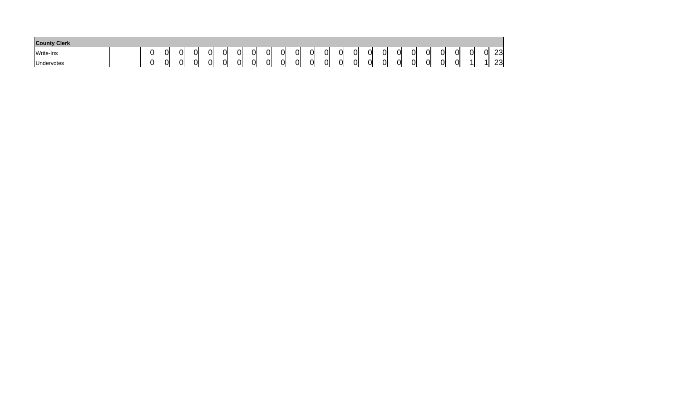| <b>County Clerk</b> |  |    |               |    |    |    |          |              |    |               |    |    |    |    |   |   |    |          |    |    |    |           |
|---------------------|--|----|---------------|----|----|----|----------|--------------|----|---------------|----|----|----|----|---|---|----|----------|----|----|----|-----------|
| Write-Ins           |  | 0l | ⌒<br>. .      | Ol | ΩI | 0I | ⌒        | ⌒<br>UI      | N  | ^'<br>$\cdot$ | 0  | ОI | Ωl | Οl | റ |   | 0l | ΛI<br>IJ | Ωl | 01 | ∩I | 23        |
| Undervotes          |  | 0l | <u>a</u><br>u | Ol | ΩI | 0I | ⌒<br>. . | $\sim$<br>UI | Ωl | u             | 01 | ΩI | Ωl | ΩI | 0 | ⌒ | Ol | Οl       | ി  |    |    | റവ<br>∵ت∠ |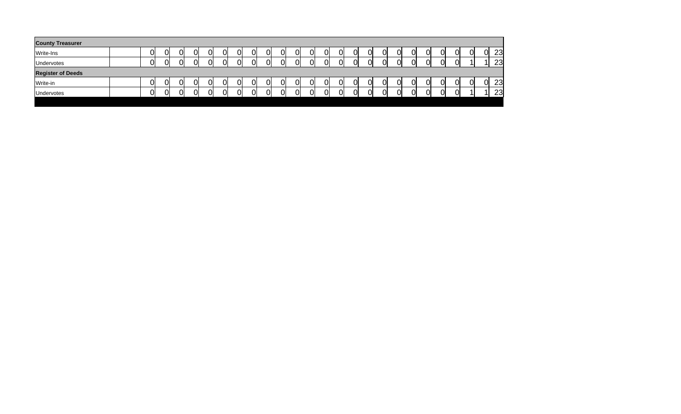| <b>County Treasurer</b>  |    |    |    |    |    |    |    |    |    |    |    |    |    |   |   |    |    |    |    |    |    |
|--------------------------|----|----|----|----|----|----|----|----|----|----|----|----|----|---|---|----|----|----|----|----|----|
| Write-Ins                | ОI | 0  | 0l | 01 | 01 | 01 | 01 | 0I | 01 | Ol | ОI | 01 | Ol | 0 | J | Οl | 01 | 0l | 01 | ОI | 23 |
| Undervotes               | וכ | 01 | Ol | 0  | 0  |    | 0  | 01 | Οl | ΩI | ΩI | 0  | ΩI | 0 |   | 0l | Ol |    |    |    | 23 |
| <b>Register of Deeds</b> |    |    |    |    |    |    |    |    |    |    |    |    |    |   |   |    |    |    |    |    |    |
| Write-in                 | ОI | 01 | 0l | 01 | 0l | 0  | 0l | 0l | 01 | OI | Ol | 01 | 01 | 0 | C | 01 | Οl | 0l | 01 | Ol | 23 |
| Undervotes               | וכ | 01 | Ol | Ωl | 0  |    | 0  | 0l | Οl | ΩI | N  | 0  | ΩI | 0 |   | 0l | Ol | വ  |    |    | 23 |
|                          |    |    |    |    |    |    |    |    |    |    |    |    |    |   |   |    |    |    |    |    |    |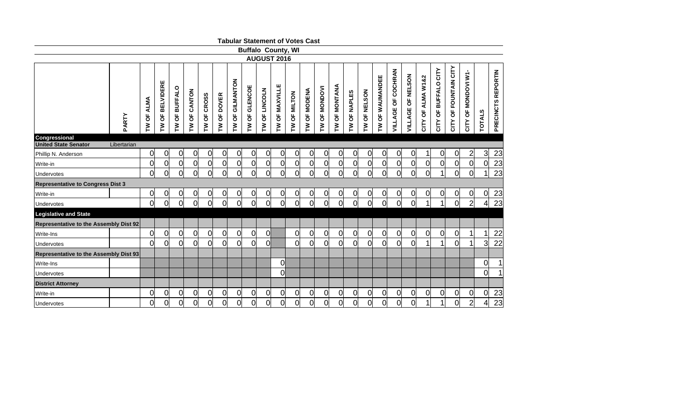|                                               |             |                            |                   |                                                             |                |                |                               |                 |                 |                                                 |                  |                | <b>Tabular Statement of Votes Cast</b> |                                 |                 |                |                |                   |                    |                   |                                     |                         |                       |                     |                |                                     |
|-----------------------------------------------|-------------|----------------------------|-------------------|-------------------------------------------------------------|----------------|----------------|-------------------------------|-----------------|-----------------|-------------------------------------------------|------------------|----------------|----------------------------------------|---------------------------------|-----------------|----------------|----------------|-------------------|--------------------|-------------------|-------------------------------------|-------------------------|-----------------------|---------------------|----------------|-------------------------------------|
|                                               |             |                            |                   |                                                             |                |                |                               |                 |                 | <b>Buffalo County, WI</b><br><b>AUGUST 2016</b> |                  |                |                                        |                                 |                 |                |                |                   |                    |                   |                                     |                         |                       |                     |                |                                     |
|                                               |             |                            |                   |                                                             |                |                |                               |                 |                 |                                                 |                  |                |                                        |                                 |                 |                |                |                   |                    |                   |                                     |                         |                       |                     |                |                                     |
|                                               | PARTY       | <b>ALMA</b><br>ხ<br>ბ<br>ξ | OF BELVIDERE<br>ξ | <b>BUFFALO</b><br>$\overline{\sigma}$<br>$\boldsymbol{\xi}$ | OF CANTON<br>ξ | TW OF CROSS    | OF DOVER<br>$\mathsf{\Sigma}$ | TW OF GILMANTON | OF GLENCOE<br>ξ | OF LINCOLN<br>$\mathsf{\Sigma}$                 | OF MAXVILLE<br>ξ | OF MILTON<br>ξ | <b>TW OF MODENA</b>                    | OF MONDOVI<br>$\mathsf{\Sigma}$ | OF MONTANA<br>ξ | OF NAPLES<br>ξ | OF NELSON<br>Σ | OF WAUMANDEE<br>ξ | VILLAGE OF COCHRAN | VILLAGE OF NELSON | ALMA W1&2<br>$\overline{a}$<br>CITY | OF BUFFALO CITY<br>CITY | CITY OF FOUNTAIN CITY | CITY OF MONDOVI W1- | <b>TOTALS</b>  | <b>REPORTIN</b><br><b>PRECINCTS</b> |
| Congressional<br><b>United State Senator</b>  | Libertarian |                            |                   |                                                             |                |                |                               |                 |                 |                                                 |                  |                |                                        |                                 |                 |                |                |                   |                    |                   |                                     |                         |                       |                     |                |                                     |
| Phillip N. Anderson                           |             | 0                          | 0                 | $\overline{0}$                                              | 0l             | 0              | 0                             | 0               | $\overline{0}$  | 0                                               | <sup>o</sup>     | 0              | $\overline{0}$                         | <sub>0</sub>                    | $\overline{0}$  | $\overline{0}$ | 0              | $\overline{0}$    | $\overline{0}$     | 01                | 1                                   | 0                       | $\overline{0}$        | $\overline{2}$      | 3              | 23                                  |
| Write-in                                      |             | <sub>0</sub>               | $\overline{0}$    | $\mathbf 0$                                                 | $\overline{0}$ | 0              | <sub>0</sub>                  | 0               | $\overline{0}$  | 0                                               | $\overline{0}$   | $\overline{0}$ | 0l                                     | $\overline{0}$                  | $\overline{0}$  | $\overline{0}$ | $\overline{0}$ | <sub>0</sub>      | $\overline{0}$     | 0                 | $\overline{0}$                      | $\overline{0}$          | 0                     | $\overline{0}$      | $\overline{0}$ | 23                                  |
| Undervotes                                    |             | <sub>0</sub>               | $\overline{0}$    | $\overline{0}$                                              | 0l             | $\Omega$       | <sub>0</sub>                  | 0l              | $\overline{0}$  | 0l                                              | 0l               | $\overline{0}$ | 0l                                     | $\overline{0}$                  | $\overline{0}$  | $\Omega$       | O              | $\Omega$          | 0                  | Ol                | $\Omega$                            | 1                       | $\overline{0}$        | Οl                  |                | 23                                  |
| <b>Representative to Congress Dist 3</b>      |             |                            |                   |                                                             |                |                |                               |                 |                 |                                                 |                  |                |                                        |                                 |                 |                |                |                   |                    |                   |                                     |                         |                       |                     |                |                                     |
| Write-in                                      |             | $\overline{0}$             | 0                 | $\overline{0}$                                              | 01             | 0              | 이                             | $\overline{0}$  |                 | 0                                               | $\overline{0}$   | $\overline{0}$ | 0                                      | $\overline{0}$                  | $\overline{0}$  | $\overline{0}$ | 0              | $\overline{0}$    | 0                  | 0                 | $\overline{0}$                      | 0                       | $\overline{0}$        | <sub>0</sub>        | 0              | 23                                  |
| Undervotes                                    |             | <sub>0</sub>               | $\overline{0}$    | $\overline{0}$                                              | 0l             | $\mathsf{O}$   | <sub>0</sub>                  | 0l              | $\overline{0}$  | 0l                                              | <sub>0</sub>     | $\overline{0}$ | <sub>O</sub>                           | $\overline{0}$                  | $\overline{0}$  | $\overline{0}$ | ol             | <sub>0</sub>      | $\overline{0}$     | 0l                | 1                                   | 1                       | 0                     | $\overline{2}$      | 4              | 23                                  |
| <b>Legislative and State</b>                  |             |                            |                   |                                                             |                |                |                               |                 |                 |                                                 |                  |                |                                        |                                 |                 |                |                |                   |                    |                   |                                     |                         |                       |                     |                |                                     |
| Representative to the Assembly Dist 92        |             |                            |                   |                                                             |                |                |                               |                 |                 |                                                 |                  |                |                                        |                                 |                 |                |                |                   |                    |                   |                                     |                         |                       |                     |                |                                     |
| Write-Ins                                     |             | <sub>0</sub>               | $\overline{0}$    | $\overline{0}$                                              | 0l             | 0              | 0                             | $\overline{0}$  | $\overline{0}$  | <sub>O</sub>                                    |                  | $\Omega$       | 0                                      | $\overline{0}$                  | $\overline{0}$  | $\overline{0}$ | 0              | 0                 | $\overline{0}$     | 0                 | $\overline{0}$                      | $\overline{0}$          | $\overline{0}$        | 1                   |                | 22                                  |
| Undervotes                                    |             | 0l                         | $\Omega$          | $\overline{0}$                                              | 0              | $\Omega$       | $\overline{0}$                | 0l              | $\Omega$        | Ωl                                              |                  | $\Omega$       | Ωl                                     | $\overline{0}$                  | $\overline{0}$  | $\Omega$       | $\overline{0}$ | $\Omega$          | $\overline{0}$     | 0                 |                                     |                         | 0                     | 1                   | $\overline{3}$ | 22                                  |
| <b>Representative to the Assembly Dist 93</b> |             |                            |                   |                                                             |                |                |                               |                 |                 |                                                 |                  |                |                                        |                                 |                 |                |                |                   |                    |                   |                                     |                         |                       |                     |                |                                     |
| Write-Ins                                     |             |                            |                   |                                                             |                |                |                               |                 |                 |                                                 | 0l               |                |                                        |                                 |                 |                |                |                   |                    |                   |                                     |                         |                       |                     | 0              |                                     |
| Undervotes                                    |             |                            |                   |                                                             |                |                |                               |                 |                 |                                                 | O                |                |                                        |                                 |                 |                |                |                   |                    |                   |                                     |                         |                       |                     | 0              |                                     |
| <b>District Attorney</b>                      |             |                            |                   |                                                             |                |                |                               |                 |                 |                                                 |                  |                |                                        |                                 |                 |                |                |                   |                    |                   |                                     |                         |                       |                     |                |                                     |
| Write-in                                      |             | <sup>o</sup>               | $\overline{0}$    | $\overline{0}$                                              | 0              | $\overline{0}$ | <sub>0</sub>                  | $\overline{0}$  | $\overline{0}$  | 0                                               | $\overline{0}$   | $\overline{0}$ | 0                                      | $\overline{0}$                  | $\overline{0}$  | $\overline{0}$ | 0              | $\overline{0}$    | $\overline{0}$     | 0                 | <sub>0</sub>                        | $\overline{0}$          | $\overline{0}$        | 0                   | $\overline{0}$ | 23                                  |
| <b>Undervotes</b>                             |             | <sub>0</sub>               | $\overline{0}$    | $\overline{0}$                                              | 0l             | $\overline{0}$ | <sub>0</sub>                  | <sub>0</sub>    | $\overline{0}$  | 0l                                              | ol               | 0              | 0                                      | $\overline{0}$                  | $\overline{0}$  | 0              | $\overline{0}$ | $\overline{0}$    | $\overline{0}$     | 0l                | 1                                   | 1                       | 0                     | $\overline{2}$      | 4              | $\overline{23}$                     |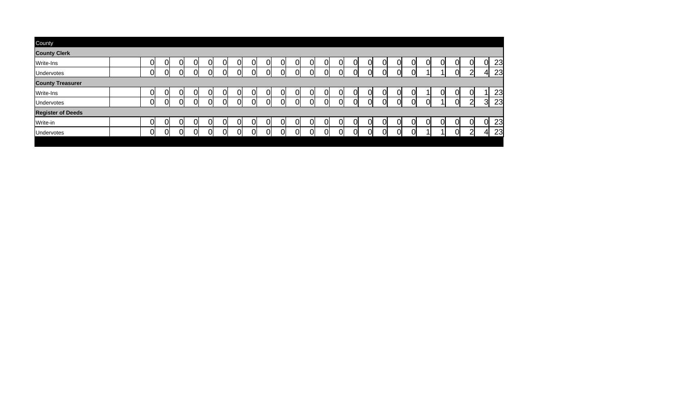| County                   |          |    |   |    |     |    |    |    |    |    |    |          |    |     |   |    |    |  |    |   |          |
|--------------------------|----------|----|---|----|-----|----|----|----|----|----|----|----------|----|-----|---|----|----|--|----|---|----------|
| <b>County Clerk</b>      |          |    |   |    |     |    |    |    |    |    |    |          |    |     |   |    |    |  |    |   |          |
| Write-Ins                | ור       | 01 | O | ΩI | OI. | Ol | 01 | ΩI | O. | 0l | 01 | 01       | ΩI | OI) |   | Οl | 01 |  | Ol | M | 23<br>0l |
| Undervotes               | าเ       | ΩI | ∩ | റ  | nı  | ΩI | N  | ∩l | nı | ∩  | ി  | ΩI       | nı |     | ∩ | ωı | ΩI |  | n. |   | 23       |
| <b>County Treasurer</b>  |          |    |   |    |     |    |    |    |    |    |    |          |    |     |   |    |    |  |    |   |          |
| Write-Ins                | <u>)</u> | 0l |   | 0  | ΩI  | Ol | 01 | 0  | N  | 0  | 01 | ΩI       | Ωl | N   |   | 01 | 01 |  | 01 |   | 23       |
| Undervotes               | าเ       | ΩI | ∩ | N  | Ωl  | ΩI | N  | N  | nı | Ωl | ΩI | ΩL       | N  | nı  |   | N  | ΩI |  | Ωı | ⌒ | 23<br>વ  |
| <b>Register of Deeds</b> |          |    |   |    |     |    |    |    |    |    |    |          |    |     |   |    |    |  |    |   |          |
| Write-in                 | ור       | 01 | O | ΩI | ΩI  | Ol | 01 | O  | 01 | 0l | 01 | 0l       | ΩI | OI) |   | 0l | 0l |  | Ωl | n | 23<br>0l |
| Undervotes               | าเ       | 01 | N | U  | N   | ΩI | N  | വ  | ωI | ∩  | റി | $\Omega$ | റി |     | ∩ | ωI | ΩI |  | Oı | ⌒ | 23<br>4  |
|                          |          |    |   |    |     |    |    |    |    |    |    |          |    |     |   |    |    |  |    |   |          |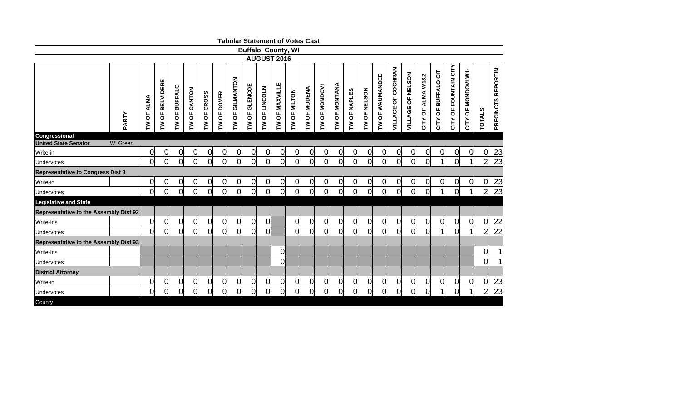|                                              |                 |                                    |                   |                                                             |                |              |                |                 |                           |                    |                  |                | <b>Tabular Statement of Votes Cast</b> |                                    |                 |                |              |                   |                    |                   |                      |                        |                       |                     |                |                    |
|----------------------------------------------|-----------------|------------------------------------|-------------------|-------------------------------------------------------------|----------------|--------------|----------------|-----------------|---------------------------|--------------------|------------------|----------------|----------------------------------------|------------------------------------|-----------------|----------------|--------------|-------------------|--------------------|-------------------|----------------------|------------------------|-----------------------|---------------------|----------------|--------------------|
|                                              |                 |                                    |                   |                                                             |                |              |                |                 | <b>Buffalo County, WI</b> |                    |                  |                |                                        |                                    |                 |                |              |                   |                    |                   |                      |                        |                       |                     |                |                    |
|                                              |                 |                                    |                   |                                                             |                |              |                |                 |                           | <b>AUGUST 2016</b> |                  |                |                                        |                                    |                 |                |              |                   |                    |                   |                      |                        |                       |                     |                |                    |
|                                              | PARTY           | <b>ALMA</b><br>$\overline{5}$<br>ξ | OF BELVIDERE<br>ξ | <b>BUFFALO</b><br>$\overline{\sigma}$<br>$\boldsymbol{\xi}$ | OF CANTON<br>ξ | TW OF CROSS  | TW OF DOVER    | TW OF GILMANTON | OF GLENCOE<br>ξ           | TW OF LINCOLN      | OF MAXVILLE<br>ξ | TW OF MILTON   | <b>TW OF MODENA</b>                    | OF MONDOVI<br>$\mathsf{\check{P}}$ | OF MONTANA<br>ξ | OF NAPLES<br>ξ | TW OF NELSON | OF WAUMANDEE<br>ξ | VILLAGE OF COCHRAN | VILLAGE OF NELSON | ALMA W1&2<br>CITY OF | OF BUFFALO CIT<br>CITY | CITY OF FOUNTAIN CITY | CITY OF MONDOVI W1- | <b>TOTALS</b>  | PRECINCTS REPORTIN |
| Congressional<br><b>United State Senator</b> | <b>WI</b> Green |                                    |                   |                                                             |                |              |                |                 |                           |                    |                  |                |                                        |                                    |                 |                |              |                   |                    |                   |                      |                        |                       |                     |                |                    |
| Write-in                                     |                 | $\overline{0}$                     | $\overline{0}$    | 0                                                           | $\overline{0}$ | 0            | 0              | 0               | $\overline{0}$            | 0                  | 0                | $\overline{0}$ | 0                                      | 0                                  | $\overline{0}$  | $\overline{0}$ | 이            | $\overline{0}$    | 0                  | 0                 | $\overline{0}$       | $\overline{0}$         | <sub>0</sub>          | $\overline{0}$      | $\overline{0}$ | $\overline{23}$    |
| Undervotes                                   |                 | $\overline{0}$                     | $\mathsf{O}$      | <sub>0</sub>                                                | $\overline{0}$ | 0l           | 0l             | 0l              | $\overline{0}$            | <sub>0</sub>       | 0l               | $\overline{0}$ | 0l                                     | $\overline{0}$                     | $\overline{0}$  | 0              | <sub>0</sub> | $\overline{0}$    | $\overline{0}$     | <sub>0</sub>      | $\overline{0}$       | 1                      | Ol                    | 1                   | $\overline{2}$ | 23                 |
| <b>Representative to Congress Dist 3</b>     |                 |                                    |                   |                                                             |                |              |                |                 |                           |                    |                  |                |                                        |                                    |                 |                |              |                   |                    |                   |                      |                        |                       |                     |                |                    |
| lWrite-in                                    |                 | <sub>0</sub>                       | 0                 | $\Omega$                                                    | $\overline{0}$ | <sub>0</sub> | 0              | $\overline{0}$  | $\overline{0}$            | 이                  | 0                | $\overline{0}$ | 0                                      | 0                                  | $\overline{0}$  | $\overline{0}$ | 이            | 0                 | 0                  | 0                 | $\Omega$             | 0                      | 0                     | $\overline{0}$      | $\overline{0}$ | $\frac{23}{23}$    |
| Undervotes                                   |                 | <sub>0</sub>                       | ol                | <sub>0</sub>                                                | O              | 0l           | <sub>0</sub>   | 0l              | $\overline{0}$            | <sub>0</sub>       | <sub>0</sub>     | $\overline{0}$ | $\overline{0}$                         | $\overline{0}$                     | $\overline{0}$  | $\overline{0}$ | ol           | $\overline{0}$    | $\overline{O}$     | <sub>0</sub>      | $\overline{0}$       | 1                      | Οl                    | $\mathbf{1}$        | $\overline{2}$ |                    |
| <b>Legislative and State</b>                 |                 |                                    |                   |                                                             |                |              |                |                 |                           |                    |                  |                |                                        |                                    |                 |                |              |                   |                    |                   |                      |                        |                       |                     |                |                    |
| Representative to the Assembly Dist 92       |                 |                                    |                   |                                                             |                |              |                |                 |                           |                    |                  |                |                                        |                                    |                 |                |              |                   |                    |                   |                      |                        |                       |                     |                |                    |
| Write-Ins                                    |                 | $\overline{0}$                     | <sub>0</sub>      | $\overline{0}$                                              | $\mathbf 0$    | 0            | $\overline{0}$ | $\overline{0}$  | $\overline{0}$            | 0l                 |                  | $\overline{0}$ | 0                                      | 0                                  | $\overline{0}$  | $\overline{0}$ | <sub>0</sub> | 0                 | $\overline{0}$     | <sub>0</sub>      | <sub>0</sub>         | $\overline{0}$         | 0l                    | $\overline{0}$      | $\overline{0}$ | 22                 |
| Undervotes                                   |                 | $\overline{0}$                     | $\Omega$          | $\overline{0}$                                              | 0              | Ol           | $\overline{0}$ | 0l              | $\overline{0}$            | 0l                 |                  | $\overline{0}$ | 0l                                     | <sub>0</sub>                       | $\overline{0}$  | $\overline{0}$ | Ol           | 0                 | $\overline{0}$     | 0l                | $\overline{0}$       | 1                      | Ol                    |                     | $\overline{2}$ | 22                 |
| Representative to the Assembly Dist 93       |                 |                                    |                   |                                                             |                |              |                |                 |                           |                    |                  |                |                                        |                                    |                 |                |              |                   |                    |                   |                      |                        |                       |                     |                |                    |
| Write-Ins                                    |                 |                                    |                   |                                                             |                |              |                |                 |                           |                    | <sub>0</sub>     |                |                                        |                                    |                 |                |              |                   |                    |                   |                      |                        |                       |                     | $\overline{0}$ | $\mathbf 1$        |
| Undervotes                                   |                 |                                    |                   |                                                             |                |              |                |                 |                           |                    | 0l               |                |                                        |                                    |                 |                |              |                   |                    |                   |                      |                        |                       |                     | Ol             | 1                  |
| <b>District Attorney</b>                     |                 |                                    |                   |                                                             |                |              |                |                 |                           |                    |                  |                |                                        |                                    |                 |                |              |                   |                    |                   |                      |                        |                       |                     |                |                    |
| Write-in                                     |                 | $\mathbf 0$                        | 0                 | $\overline{0}$                                              | 0              | 0            | $\overline{0}$ | $\overline{0}$  | $\overline{0}$            | 0                  | $\overline{0}$   | $\overline{0}$ | 0                                      | 0                                  | $\overline{0}$  | $\mathbf 0$    | 0            | $\overline{0}$    | $\overline{0}$     | <sub>0</sub>      | $\overline{0}$       | $\overline{0}$         | <sub>0</sub>          | $\overline{0}$      | $\overline{0}$ | $\overline{23}$    |
| Undervotes                                   |                 | $\overline{0}$                     | 0l                | 0l                                                          | 0              | 0l           | 0l             | 0l              | $\overline{0}$            | 0l                 | <sub>0</sub>     | $\overline{0}$ | 0l                                     | <sub>0</sub>                       | $\overline{0}$  | $\overline{0}$ | Οl           | <sub>0</sub>      | 0                  | <sub>0</sub>      | $\overline{0}$       | 1                      | Ol                    | 1                   | $\overline{2}$ | 23                 |
| County                                       |                 |                                    |                   |                                                             |                |              |                |                 |                           |                    |                  |                |                                        |                                    |                 |                |              |                   |                    |                   |                      |                        |                       |                     |                |                    |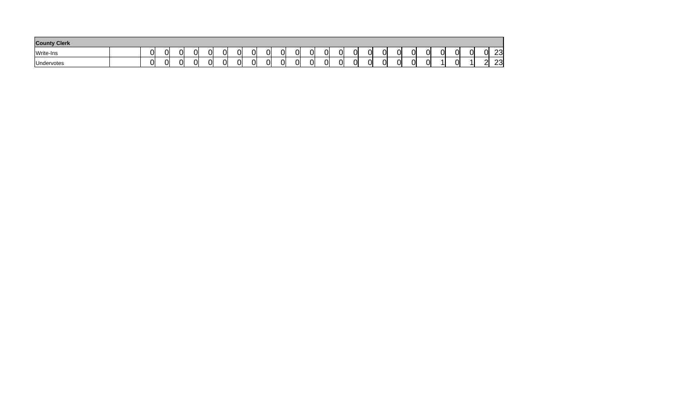| <b>County Clerk</b> |     |    |         |    |    |                   |    |    |    |   |   |    |          |    |    |    |    |    |        |    |             |
|---------------------|-----|----|---------|----|----|-------------------|----|----|----|---|---|----|----------|----|----|----|----|----|--------|----|-------------|
| Write-Ins           |     | Ωl | പ<br>ιл | Ol | 0I | ωı<br>.,          | 01 | 0I | Οl | ⌒ | 0 | Ωl | ωı<br>٠Л | 01 | CI | 01 | Ωl | ^' | പ<br>ີ | וח | າາ<br>∵ت∠   |
| Undervotes          | . . | Ωl | Ol      | Ol | 0I | ິ<br>. <i>.</i> . | 01 | 0L | Οl | ~ | 0 | Ωl | ωı<br>UΙ | Ωl | ΩI | 01 |    | -- |        | ור | ົດລະ<br>ی∠∠ |